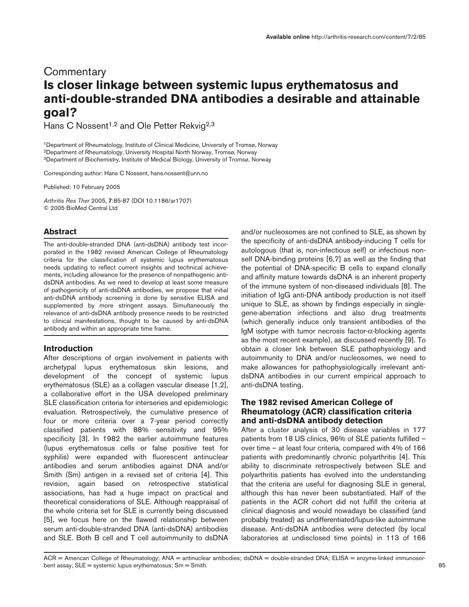# **Commentary Is closer linkage between systemic lupus erythematosus and anti-double-stranded DNA antibodies a desirable and attainable goal?**

Hans C Nossent<sup>1,2</sup> and Ole Petter Rekvig<sup>2,3</sup>

1Department of Rheumatology, Institute of Clinical Medicine, University of Tromsø, Norway 2Department of Rheumatology, University Hospital North Norway, Tromsø, Norway 3Department of Biochemistry, Institute of Medical Biology, University of Tromsø, Norway

Corresponding author: Hans C Nossent, hans.nossent@unn.no

Published: 10 February 2005

*Arthritis Res Ther* 2005, **7**:85-87 (DOI 10.1186/ar1707) © 2005 BioMed Central Ltd

### **Abstract**

The anti-double-stranded DNA (anti-dsDNA) antibody test incorporated in the 1982 revised American College of Rheumatology criteria for the classification of systemic lupus erythematosus needs updating to reflect current insights and technical achievements, including allowance for the presence of nonpathogenic antidsDNA antibodies. As we need to develop at least some measure of pathogenicity of anti-dsDNA antibodies, we propose that initial anti-dsDNA antibody screening is done by sensitive ELISA and supplemented by more stringent assays. Simultaneously the relevance of anti-dsDNA antibody presence needs to be restricted to clinical manifestations, thought to be caused by anti-dsDNA antibody and within an appropriate time frame.

### **Introduction**

After descriptions of organ involvement in patients with archetypal lupus erythematosus skin lesions, and development of the concept of systemic lupus erythematosus (SLE) as a collagen vascular disease [1,2], a collaborative effort in the USA developed preliminary SLE classification criteria for interseries and epidemiologic evaluation. Retrospectively, the cumulative presence of four or more criteria over a 7-year period correctly classified patients with 88% sensitivity and 95% specificity [3]. In 1982 the earlier autoimmune features (lupus erythematosus cells or false positive test for syphilis) were expanded with fluorescent antinuclear antibodies and serum antibodies against DNA and/or Smith (Sm) antigen in a revised set of criteria [4]. This revision, again based on retrospective statistical associations, has had a huge impact on practical and theoretical considerations of SLE. Although reappraisal of the whole criteria set for SLE is currently being discussed [5], we focus here on the flawed relationship between serum anti-double-stranded DNA (anti-dsDNA) antibodies and SLE. Both B cell and T cell autoimmunity to dsDNA

and/or nucleosomes are not confined to SLE, as shown by the specificity of anti-dsDNA antibody-inducing T cells for autologous (that is, non-infectious self) or infectious nonself DNA-binding proteins [6,7] as well as the finding that the potential of DNA-specific B cells to expand clonally and affinity mature towards dsDNA is an inherent property of the immune system of non-diseased individuals [8]. The initiation of IgG anti-DNA antibody production is not itself unique to SLE, as shown by findings especially in singlegene-aberration infections and also drug treatments (which generally induce only transient antibodies of the IgM isotype with tumor necrosis factor-α-blocking agents as the most recent example), as discussed recently [9]. To obtain a closer link between SLE pathophysiology and autoimmunity to DNA and/or nucleosomes, we need to make allowances for pathophysiologically irrelevant antidsDNA antibodies in our current empirical approach to anti-dsDNA testing.

## **The 1982 revised American College of Rheumatology (ACR) classification criteria and anti-dsDNA antibody detection**

After a cluster analysis of 30 disease variables in 177 patients from 18 US clinics, 96% of SLE patients fulfilled – over time – at least four criteria, compared with 4% of 166 patients with predominantly chronic polyarthritis [4]. This ability to discriminate retrospectively between SLE and polyarthritis patients has evolved into the understanding that the criteria are useful for diagnosing SLE in general, although this has never been substantiated. Half of the patients in the ACR cohort did not fulfill the criteria at clinical diagnosis and would nowadays be classified (and probably treated) as undifferentiated/lupus-like autoimmune disease. Anti-dsDNA antibodies were detected (by local laboratories at undisclosed time points) in 113 of 166

ACR = American College of Rheumatology; ANA = antinuclear antibodies; dsDNA = double-stranded DNA; ELISA = enzyme-linked immunosorbent assay; SLE = systemic lupus erythematosus; Sm = Smith.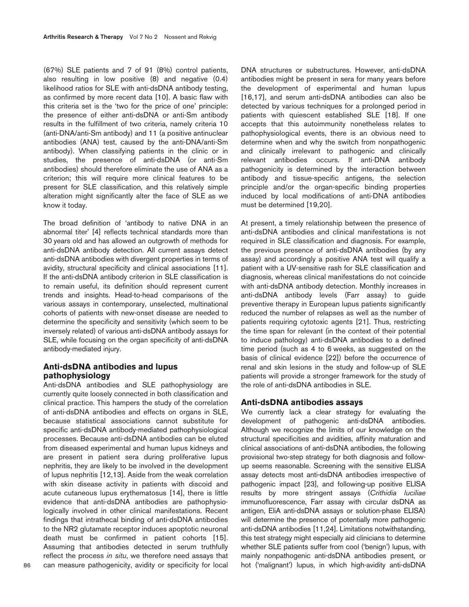(67%) SLE patients and 7 of 91 (8%) control patients, also resulting in low positive (8) and negative (0.4) likelihood ratios for SLE with anti-dsDNA antibody testing, as confirmed by more recent data [10]. A basic flaw with this criteria set is the 'two for the price of one' principle: the presence of either anti-dsDNA or anti-Sm antibody results in the fulfillment of two criteria, namely criteria 10 (anti-DNA/anti-Sm antibody) and 11 (a positive antinuclear antibodies (ANA) test, caused by the anti-DNA/anti-Sm antibody). When classifying patients in the clinic or in studies, the presence of anti-dsDNA (or anti-Sm antibodies) should therefore eliminate the use of ANA as a criterion; this will require more clinical features to be present for SLE classification, and this relatively simple alteration might significantly alter the face of SLE as we know it today.

The broad definition of 'antibody to native DNA in an abnormal titer' [4] reflects technical standards more than 30 years old and has allowed an outgrowth of methods for anti-dsDNA antibody detection. All current assays detect anti-dsDNA antibodies with divergent properties in terms of avidity, structural specificity and clinical associations [11]. If the anti-dsDNA antibody criterion in SLE classification is to remain useful, its definition should represent current trends and insights. Head-to-head comparisons of the various assays in contemporary, unselected, multinational cohorts of patients with new-onset disease are needed to determine the specificity and sensitivity (which seem to be inversely related) of various anti-dsDNA antibody assays for SLE, while focusing on the organ specificity of anti-dsDNA antibody-mediated injury.

## **Anti-dsDNA antibodies and lupus pathophysiology**

Anti-dsDNA antibodies and SLE pathophysiology are currently quite loosely connected in both classification and clinical practice. This hampers the study of the correlation of anti-dsDNA antibodies and effects on organs in SLE, because statistical associations cannot substitute for specific anti-dsDNA antibody-mediated pathophysiological processes. Because anti-dsDNA antibodies can be eluted from diseased experimental and human lupus kidneys and are present in patient sera during proliferative lupus nephritis, they are likely to be involved in the development of lupus nephritis [12,13]. Aside from the weak correlation with skin disease activity in patients with discoid and acute cutaneous lupus erythematosus [14], there is little evidence that anti-dsDNA antibodies are pathophysiologically involved in other clinical manifestations. Recent findings that intrathecal binding of anti-dsDNA antibodies to the NR2 glutamate receptor induces apoptotic neuronal death must be confirmed in patient cohorts [15]. Assuming that antibodies detected in serum truthfully reflect the process *in situ*, we therefore need assays that can measure pathogenicity, avidity or specificity for local

DNA structures or substructures. However, anti-dsDNA antibodies might be present in sera for many years before the development of experimental and human lupus [16,17], and serum anti-dsDNA antibodies can also be detected by various techniques for a prolonged period in patients with quiescent established SLE [18]. If one accepts that this autoimmunity nonetheless relates to pathophysiological events, there is an obvious need to determine when and why the switch from nonpathogenic and clinically irrelevant to pathogenic and clinically relevant antibodies occurs. If anti-DNA antibody pathogenicity is determined by the interaction between antibody and tissue-specific antigens, the selection principle and/or the organ-specific binding properties induced by local modifications of anti-DNA antibodies must be determined [19,20].

At present, a timely relationship between the presence of anti-dsDNA antibodies and clinical manifestations is not required in SLE classification and diagnosis. For example, the previous presence of anti-dsDNA antibodies (by any assay) and accordingly a positive ANA test will qualify a patient with a UV-sensitive rash for SLE classification and diagnosis, whereas clinical manifestations do not coincide with anti-dsDNA antibody detection. Monthly increases in anti-dsDNA antibody levels (Farr assay) to guide preventive therapy in European lupus patients significantly reduced the number of relapses as well as the number of patients requiring cytotoxic agents [21]. Thus, restricting the time span for relevant (in the context of their potential to induce pathology) anti-dsDNA antibodies to a defined time period (such as 4 to 6 weeks, as suggested on the basis of clinical evidence [22]) before the occurrence of renal and skin lesions in the study and follow-up of SLE patients will provide a stronger framework for the study of the role of anti-dsDNA antibodies in SLE.

## **Anti-dsDNA antibodies assays**

We currently lack a clear strategy for evaluating the development of pathogenic anti-dsDNA antibodies. Although we recognize the limits of our knowledge on the structural specificities and avidities, affinity maturation and clinical associations of anti-dsDNA antibodies, the following provisional two-step strategy for both diagnosis and followup seems reasonable. Screening with the sensitive ELISA assay detects most anti-dsDNA antibodies irrespective of pathogenic impact [23], and following-up positive ELISA results by more stringent assays (*Crithidia luciliae* immunofluorescence, Farr assay with circular dsDNA as antigen, EliA anti-dsDNA assays or solution-phase ELISA) will determine the presence of potentially more pathogenic anti-dsDNA antibodies [11,24]. Limitations notwithstanding, this test strategy might especially aid clinicians to determine whether SLE patients suffer from cool ('benign') lupus, with mainly nonpathogenic anti-dsDNA antibodies present, or hot ('malignant') lupus, in which high-avidity anti-dsDNA